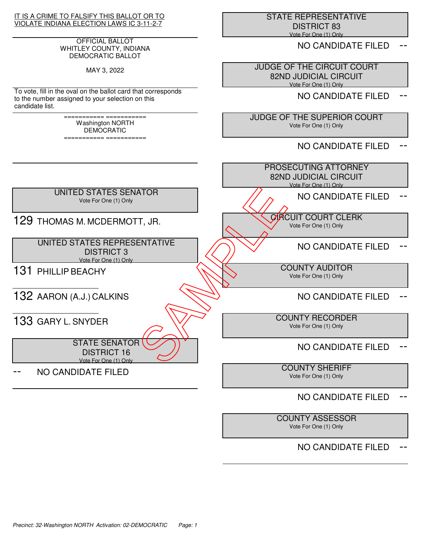IT IS A CRIME TO FALSIFY THIS BALLOT OR TO VIOLATE INDIANA ELECTION LAWS IC 3-11-2-7

#### OFFICIAL BALLOT WHITLEY COUNTY, INDIANA DEMOCRATIC BALLOT

MAY 3, 2022

To vote, fill in the oval on the ballot card that corresponds to the number assigned to your selection on this candidate list.

> =========== =========== Washington NORTH **DEMOCRATIC**

> =========== ===========

 STATE REPRESENTATIVE DISTRICT 83 Vote For One (1) Only

NO CANDIDATE FILED

 JUDGE OF THE CIRCUIT COURT 82ND JUDICIAL CIRCUIT Vote For One (1) Only

NO CANDIDATE FILED

 JUDGE OF THE SUPERIOR COURT Vote For One (1) Only

NO CANDIDATE FILED



# NO CANDIDATE FILED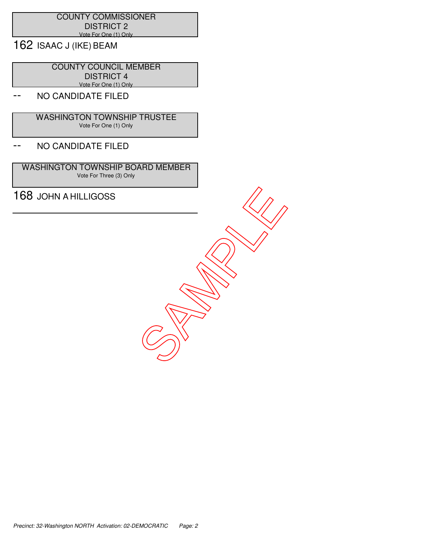#### COUNTY COMMISSIONER DISTRICT 2 Vote For One (1) Only

162 ISAAC J (IKE) BEAM

 COUNTY COUNCIL MEMBER DISTRICT 4 Vote For One (1) Only

## NO CANDIDATE FILED

 WASHINGTON TOWNSHIP TRUSTEE Vote For One (1) Only

### -- NO CANDIDATE FILED

 WASHINGTON TOWNSHIP BOARD MEMBER Vote For Three (3) Only

TES JOHN A HILLIGOSS